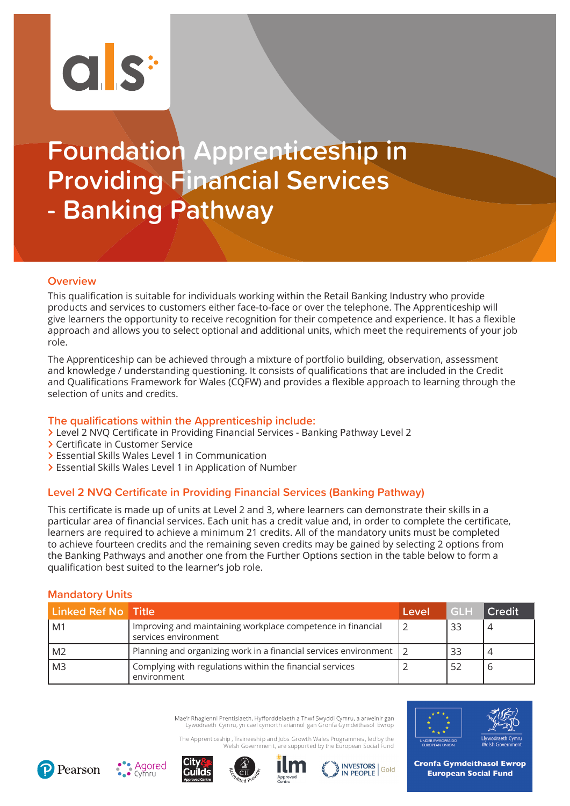# $\overline{C}$   $S^*$

# **Foundation Apprenticeship in Providing Financial Services - Banking Pathway**

# **Overview**

This qualification is suitable for individuals working within the Retail Banking Industry who provide products and services to customers either face-to-face or over the telephone. The Apprenticeship will give learners the opportunity to receive recognition for their competence and experience. It has a flexible approach and allows you to select optional and additional units, which meet the requirements of your job role.

The Apprenticeship can be achieved through a mixture of portfolio building, observation, assessment and knowledge / understanding questioning. It consists of qualifications that are included in the Credit and Qualifications Framework for Wales (CQFW) and provides a flexible approach to learning through the selection of units and credits.

## **The qualifications within the Apprenticeship include:**

- **>** Level 2 NVQ Certificate in Providing Financial Services Banking Pathway Level 2
- **>** Certificate in Customer Service
- **>** Essential Skills Wales Level 1 in Communication
- **>** Essential Skills Wales Level 1 in Application of Number

# **Level 2 NVQ Certificate in Providing Financial Services (Banking Pathway)**

This certificate is made up of units at Level 2 and 3, where learners can demonstrate their skills in a particular area of financial services. Each unit has a credit value and, in order to complete the certificate, learners are required to achieve a minimum 21 credits. All of the mandatory units must be completed to achieve fourteen credits and the remaining seven credits may be gained by selecting 2 options from the Banking Pathways and another one from the Further Options section in the table below to form a qualification best suited to the learner's job role.

# **Mandatory Units**

| Linked Ref No Title |                                                                                     | Level | <b>GLH</b> | <b>Credit</b> |
|---------------------|-------------------------------------------------------------------------------------|-------|------------|---------------|
| M1                  | Improving and maintaining workplace competence in financial<br>services environment |       | 33         |               |
| M2                  | Planning and organizing work in a financial services environment   2                |       | 33         |               |
| M <sub>3</sub>      | Complying with regulations within the financial services<br>environment             |       | -52        | O             |

Mae'r Rhaglenni Prentisiaeth, Hyfforddeiaeth a Thwf Swyddi Cymru, a arweinir gan Lywodraeth Cymru, yn cael cymorth ariannol gan Gronfa Gymdeithasol Ewrop

The Apprenticeship , Traineeshi p and Jobs Growth Wales Programmes , led by the Welsh Governmen t, are supported by the European Social Fund













**Cronfa Gymdeithasol Ewrop European Social Fund**